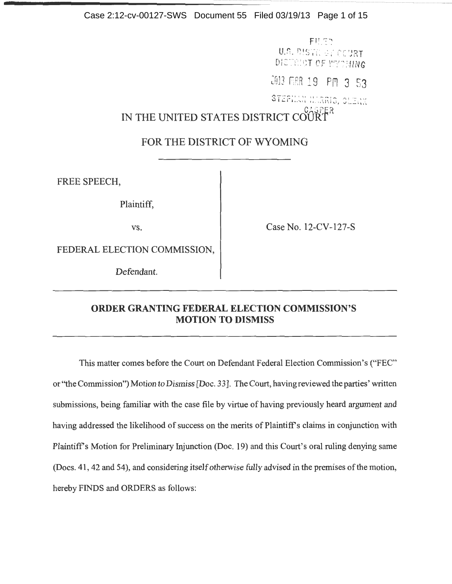Case 2:12-cv-00127-SWS Document 55 Filed 03/19/13 Page 1 of 15

-- -- ------···-----·····-· ..... --····· --······----····· -- -····· ·······---·····----······--······ --······---·····----·····- -················---·················---······---······---·····----·····- ....... --······ --····· ---······ --······ --······---·····----·····- --····· --······ --······

FILED U.S. DISTRICT COURT DISTRICT OF WYCHING

2013 MAR 19 PM 3 53

STEP 'LARIS, CLIN'

IN THE UNITED STATES DISTRICT OF

# FOR THE DISTRICT OF WYOMING

FREE SPEECH,

Plaintiff,

vs. Case No. 12-CV-127-S

FEDERAL ELECTION COMMISSION,

Defendant.

# **ORDER GRANTING FEDERAL ELECTION COMMISSION'S MOTION TO DISMISS**

This matter comes before the Court on Defendant Federal Election Commission's ("FEC" or"the Commission") Motion to Dismiss [Doc. 33]. The Court, having reviewed the parties' written submissions, being familiar with the case file by virtue of having previously heard argument and having addressed the likelihood of success on the merits of Plaintiff's claims in conjunction with Plaintiff's Motion for Preliminary Injunction (Doc. 19) and this Court's oral ruling denying same (Docs. 41 , 42 and 54), and considering itself otherwise fully advised in the premises of the motion, hereby FINDS and ORDERS as follows: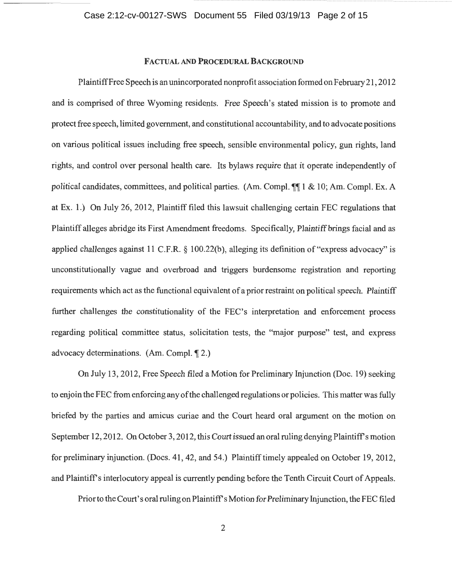<u>о на политички производите на политички природни природни природни природни природни природни природни природн</u>

# FACTUAL AND PROCEDURAL BACKGROUND

PlaintiffFree Speech is an unincorporated nonprofit association formed on February 21 , 2012 and is comprised of three Wyoming residents. Free Speech's stated mission is to promote and protect free speech, limited government, and constitutional accountability, and to advocate positions on various political issues including free speech, sensible environmental policy, gun rights, land rights, and control over personal health care. Its bylaws require that it operate independently of political candidates, committees, and political parties. (Am. Compl.  $\P\P$  1 & 10; Am. Compl. Ex. A at Ex. 1.) On July 26, 2012, Plaintiff filed this lawsuit challenging certain FEC regulations that Plaintiff alleges abridge its First Amendment freedoms. Specifically, Plaintiff brings facial and as applied challenges against 11 C.F.R.  $\S$  100.22(b), alleging its definition of "express advocacy" is unconstitutionally vague and overbroad and triggers burdensome registration and reporting requirements which act as the functional equivalent of a prior restraint on political speech. Plaintiff further challenges the constitutionality of the FEC's interpretation and enforcement process regarding political committee status, solicitation tests, the "major purpose" test, and express advocacy determinations.  $(Am. Compl.  $\P$  2.)$ 

On July 13, 2012, Free Speech filed a Motion for Preliminary Injunction (Doc. 19) seeking to enjoin the FEC from enforcing any of the challenged regulations or policies. This matter was fully briefed by the parties and amicus curiae and the Court heard oral argument on the motion on September 12, 2012. On October 3, 2012, this Court issued an oral ruling denying Plaintiff's motion for preliminary injunction. (Docs. 41, 42, and 54.) Plaintiff timely appealed on October 19, 2012, and Plaintiff's interlocutory appeal is currently pending before the Tenth Circuit Court of Appeals.

Prior to the Court's oral ruling on Plaintiff's Motion for Preliminary Injunction, the FEC filed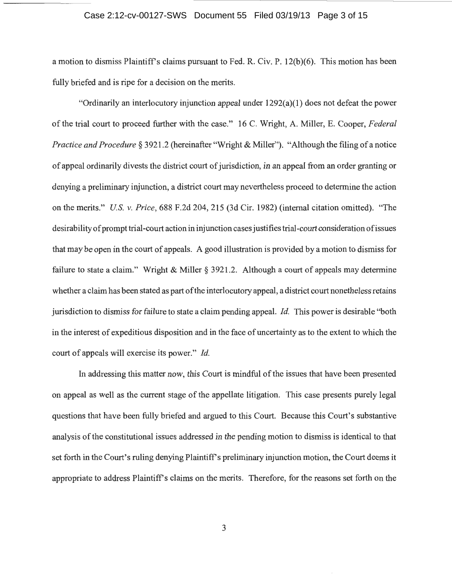### Case 2:12-cv-00127-SWS Document 55 Filed 03/19/13 Page 3 of 15

a motion to dismiss Plaintiff's claims pursuant to Fed. R. Civ. P. 12(b)(6). This motion has been fully briefed and is ripe for a decision on the merits.

"Ordinarily an interlocutory injunction appeal under 1292(a)(1) does not defeat the power of the trial court to proceed further with the case." 16 C. Wright, A. Miller, E. Cooper, *Federal Practice and Procedure* § 3921 .2 (hereinafter "Wright & Miller"). "Although the filing of a notice of appeal ordinarily divests the district court of jurisdiction, in an appeal from an order granting or denying a preliminary injunction, a district court may nevertheless proceed to determine the action on the merits." *US. v. Price,* 688 F.2d 204, 215 (3d Cir. 1982) (internal citation omitted). "The desirability of prompt trial-court action in injunction cases justifies trial-court consideration of issues that may be open in the court of appeals. A good illustration is provided by a motion to dismiss for failure to state a claim." Wright & Miller § 3921.2. Although a court of appeals may determine whether a claim has been stated as part of the interlocutory appeal, a district court nonetheless retains jurisdiction to dismiss for failure to state a claim pending appeal. *!d.* This power is desirable "both in the interest of expeditious disposition and in the face of uncertainty as to the extent to which the court of appeals will exercise its power." *!d.* 

In addressing this matter now, this Court is mindful of the issues that have been presented on appeal as well as the current stage of the appellate litigation. This case presents purely legal questions that have been fully briefed and argued to this Court. Because this Court's substantive analysis of the constitutional issues addressed in the pending motion to dismiss is identical to that set forth in the Court's ruling denying Plaintiff's preliminary injunction motion, the Court deems it appropriate to address Plaintiffs claims on the merits. Therefore, for the reasons set forth on the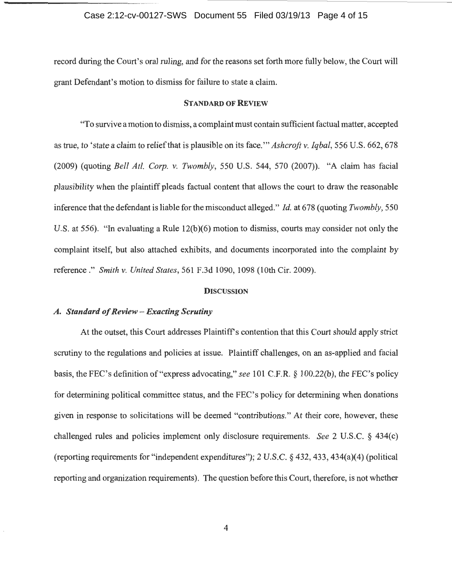#### Case 2:12-cv-00127-SWS Document 55 Filed 03/19/13 Page 4 of 15

record during the Court's oral ruling, and for the reasons set forth more fully below, the Court will grant Defendant's motion to dismiss for failure to state a claim.

#### STANDARD OF REVIEW

"To survive a motion to dismiss, a complaint must contain sufficient factual matter, accepted as true, to 'state a claim to relief that is plausible on its face."' *Ashcroft* v. *Iqbal,* 556 U.S. 662, 678 (2009) (quoting *Bell At/. Corp.* v. *Twombly,* 550 U.S. 544, 570 (2007)). "A claim has facial plausibility when the plaintiff pleads factual content that allows the court to draw the reasonable inference that the defendant is liable for the misconduct alleged." *!d.* at 678 (quoting *Twombly,* 550 U.S. at 556). "In evaluating a Rule 12(b)(6) motion to dismiss, courts may consider not only the complaint itself, but also attached exhibits, and documents incorporated into the complaint by reference." *Smith* v. *United States,* 561 F.3d 1090, 1098 (lOth Cir. 2009).

#### **DISCUSSION**

#### *A. Standard of Review- Exacting Scrutiny*

At the outset, this Court addresses Plaintiff's contention that this Court should apply strict scrutiny to the regulations and policies at issue. Plaintiff challenges, on an as-applied and facial basis, the FEC's definition of"express advocating," *see* 101 C.F.R. § 100.22(b), the FEC's policy for determining political committee status, and the FEC's policy for determining when donations given in response to solicitations will be deemed "contributions." At their core, however, these challenged rules and policies implement only disclosure requirements. *See* 2 U.S.C. § 434(c) (reporting requirements for "independent expenditures"); 2 U.S.C. § 432, 433, 434(a)(4) (political reporting and organization requirements). The question before this Court, therefore, is not whether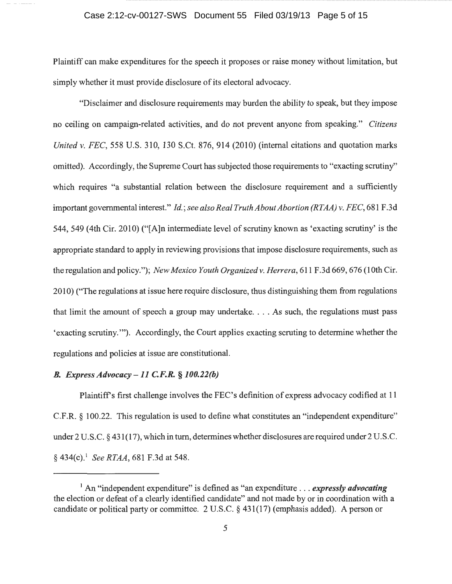Plaintiff can make expenditures for the speech it proposes or raise money without limitation, but simply whether it must provide disclosure of its electoral advocacy.

"Disclaimer and disclosure requirements may burden the ability to speak, but they impose no ceiling on campaign-related activities, and do not prevent anyone from speaking." *Citizens United v. FEC,* 558 U.S. 310, 130 S.Ct. 876, 914 (2010) (internal citations and quotation marks omitted). Accordingly, the Supreme Court has subjected those requirements to "exacting scrutiny'' which requires "a substantial relation between the disclosure requirement and a sufficiently important governmental interest." *Id.; see also Real Truth About Abortion (RTAA) v. FEC*, 681 F.3d 544, 549 (4th Cir. 2010) ("[A]n intermediate level of scrutiny known as 'exacting scrutiny' is the appropriate standard to apply in reviewing provisions that impose disclosure requirements, such as the regulation and policy."); *New Mexico Youth Organized v. Herrera*, 611 F.3d 669, 676 (10th Cir. 2010) ("The regulations at issue here require disclosure, thus distinguishing them from regulations that limit the amount of speech a group may undertake .... As such, the regulations must pass 'exacting scrutiny."'). Accordingly, the Court applies exacting scruting to determine whether the regulations and policies at issue are constitutional.

## *B. Express Advocacy -11 C.F.R.* § *100.22(b)*

Plaintiffs first challenge involves the FEC's definition of express advocacy codified at 11 C.F.R. § 100.22. This regulation is used to define what constitutes an "independent expenditure" under2 U.S.C. § 431(17), which in tum, determines whether disclosures are required under2 U.S.C. § 434(c).<sup>1</sup> See RTAA, 681 F.3d at 548.

<sup>&</sup>lt;sup>1</sup> An "independent expenditure" is defined as "an expenditure ... *expressly advocating* the election or defeat of a clearly identified candidate" and not made by or in coordination with a candidate or political party or committee. 2 U.S.C. § 431(17) (emphasis added). A person or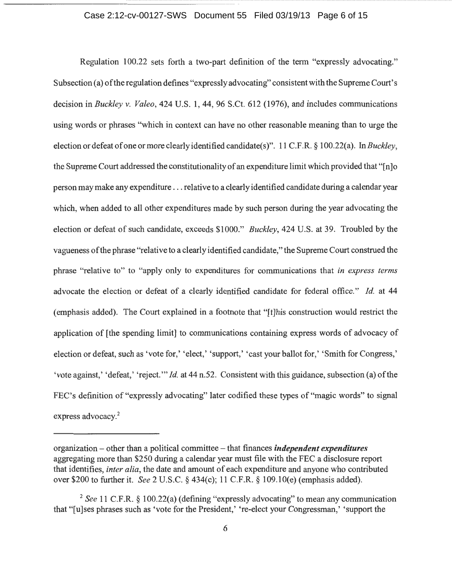### Case 2:12-cv-00127-SWS Document 55 Filed 03/19/13 Page 6 of 15

Regulation 100.22 sets forth a two-part definition of the term "expressly advocating." Subsection (a) of the regulation defines "expressly advocating" consistent with the Supreme Court's decision in *Buckley v. Valeo,* 424 U.S. 1, 44, 96 S.Ct. 612 (1976), and includes communications using words or phrases "which in context can have no other reasonable meaning than to urge the election or defeat of one or more clearly identified candidate(s )". 11 C.F .R. § 1 00.22( a). In *Buckley,*  the Supreme Court addressed the constitutionality of an expenditure limit which provided that " $[n]$ " person may make any expenditure ... relative to a clearly identified candidate during a calendar year which, when added to all other expenditures made by such person during the year advocating the election or defeat of such candidate, exceeds \$1000." *Buckley,* 424 U.S. at 39. Troubled by the vagueness of the phrase "relative to a clearly identified candidate," the Supreme Court construed the phrase "relative to" to "apply only to expenditures for communications that *in express terms*  advocate the election or defeat of a clearly identified candidate for federal office." *!d.* at 44 (emphasis added). The Court explained in a footnote that "[t]his construction would restrict the application of [the spending limit] to communications containing express words of advocacy of election or defeat, such as 'vote for,' 'elect,' 'support,' 'cast your ballot for,' 'Smith for Congress,' 'vote against,' 'defeat,' 'reject."' *!d.* at 44 n.52. Consistent with this guidance, subsection (a) of the FEC's definition of "expressly advocating" later codified these types of "magic words" to signal express advocacy.<sup>2</sup>

organization- other than a political committee - that finances *independent expenditures*  aggregating more than \$250 during a calendar year must file with the FEC a disclosure report that identifies, *inter alia,* the date and amount of each expenditure and anyone who contributed over \$200 to further it. *See* 2 U.S.C. § 434(c); 11 C.F.R. § 109.10(e) (emphasis added).

<sup>2</sup>*See* 11 C.F.R. § 100.22(a) (defining "expressly advocating" to mean any communication that "[u]ses phrases such as 'vote for the President,' 're-elect your Congressman,' 'support the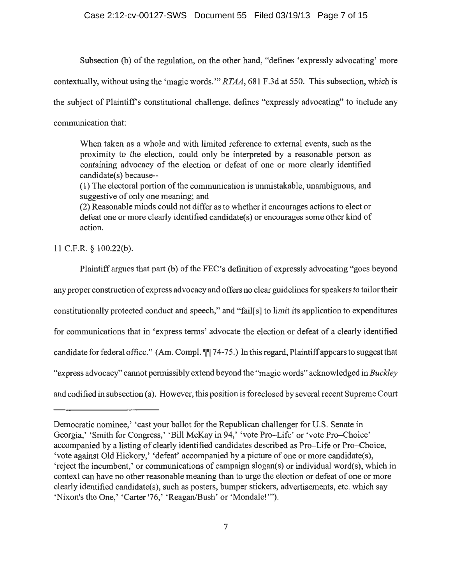### Case 2:12-cv-00127-SWS Document 55 Filed 03/19/13 Page 7 of 15

Subsection (b) of the regulation, on the other hand, "defines 'expressly advocating' more

contextually, without using the 'magic words."' *RTAA,* 681 F.3d at 550. This subsection, which is

the subject of Plaintiffs constitutional challenge, defines "expressly advocating" to include any

communication that:

When taken as a whole and with limited reference to external events, such as the proximity to the election, could only be interpreted by a reasonable person as containing advocacy of the election or defeat of one or more clearly identified candidate(s) because--

(1) The electoral portion of the communication is unmistakable, unambiguous, and suggestive of only one meaning; and

(2) Reasonable minds could not differ as to whether it encourages actions to elect or defeat one or more clearly identified candidate(s) or encourages some other kind of action.

11 C.F.R. § 100.22(b).

Plaintiff argues that part (b) of the FEC's definition of expressly advocating "goes beyond any proper construction of express advocacy and offers no clear guidelines for speakers to tailor their constitutionally protected conduct and speech," and "fail[s] to limit its application to expenditures for communications that in 'express terms' advocate the election or defeat of a clearly identified candidate for federal office." (Am. Compl.  $\P$  74-75.) In this regard, Plaintiff appears to suggest that "express advocacy'' cannot permissibly extend beyond the "magic words" acknowledged in *Buckley*  and codified in subsection (a). However, this position is foreclosed by several recent Supreme Court

Democratic nominee,' 'cast your ballot for the Republican challenger for U.S. Senate in Georgia,' 'Smith for Congress,' 'Bill McKay in 94,' 'vote Pro-Life' or 'vote Pro-Choice' accompanied by a listing of clearly identified candidates described as Pro-Life or Pro-Choice, 'vote against Old Hickory,' 'defeat' accompanied by a picture of one or more candidate(s), 'reject the incumbent,' or communications of campaign slogan(s) or individual word(s), which in context can have no other reasonable meaning than to urge the election or defeat of one or more clearly identified candidate(s), such as posters, bumper stickers, advertisements, etc. which say 'Nixon's the One,' 'Carter '76,' 'Reagan/Bush' or 'Mondale!'").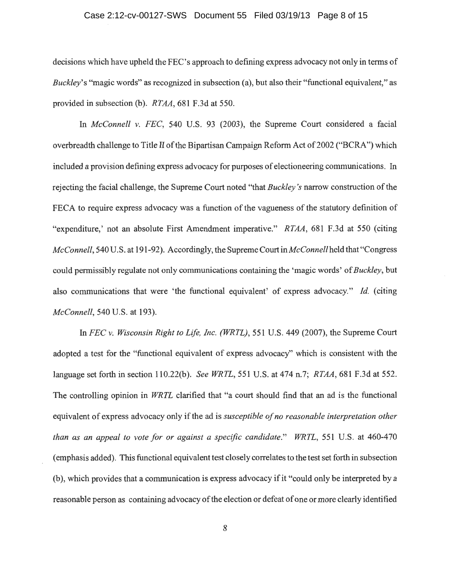### Case 2:12-cv-00127-SWS Document 55 Filed 03/19/13 Page 8 of 15

decisions which have upheld the FEC's approach to defining express advocacy not only in terms of *Buckley's* "magic words" as recognized in subsection (a), but also their "functional equivalent," as provided in subsection (b). *RTAA,* 681 F.3d at 550.

In *McConnell v. FEC,* 540 U.S. 93 (2003), the Supreme Court considered a facial overbreadth challenge to Title II of the Bipartisan Campaign Reform Act of 2002 ("BCRA") which included a provision defining express advocacy for purposes of electioneering communications. In rejecting the facial challenge, the Supreme Court noted "that *Buckley's* narrow construction of the FECA to require express advocacy was a function of the vagueness of the statutory definition of "expenditure,' not an absolute First Amendment imperative." *RTAA,* 681 F.3d at 550 (citing *McConnell,* 540 U.S. at 191-92). Accordingly, the Supreme Court *inMcConnellheld* that "Congress could permissibly regulate not only communications containing the 'magic words' of *Buckley,* but also communications that were 'the functional equivalent' of express advocacy." *!d.* (citing *McConnell,* 540 U.S. at 193).

In *FEC v. Wisconsin Right to Life, Inc. (WRTL),* 551 U.S. 449 (2007), the Supreme Court adopted a test for the "functional equivalent of express advocacy" which is consistent with the language set forth in section 110.22(b). *See WRTL,* 551 U.S. at 474 n.7; *RTAA,* 681 F.3d at 552. The controlling opinion in *WRTL* clarified that "a court should find that an ad is the functional equivalent of express advocacy only if the ad is *susceptible of no reasonable interpretation other than as an appeal to vote for or against a specific candidate." WRTL,* 551 U.S. at 460-470 (emphasis added). This functional equivalent test closely correlates to the test set forth in subsection (b), which provides that a communication is express advocacy if it "could only be interpreted by a reasonable person as containing advocacy of the election or defeat of one or more clearly identified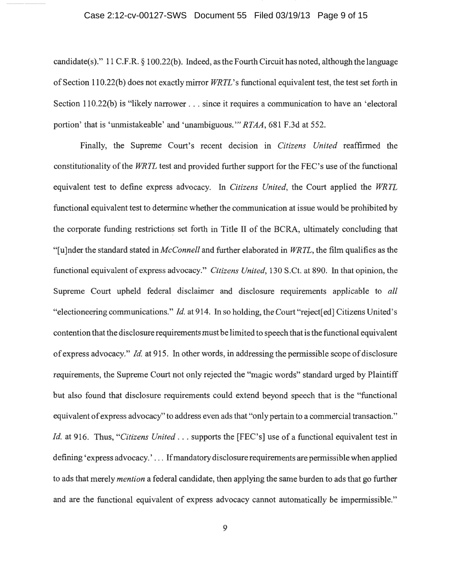candidate(s)." 11 C.F.R. § 100.22(b). Indeed, as the Fourth Circuit has noted, although the language ofSection 110.22(b) does not exactly mirror *WRTL's* functional equivalent test, the test set forth in Section 110.22(b) is "likely narrower . . . since it requires a communication to have an 'electoral portion' that is 'unmistakeable' and 'unambiguous."' *RTAA,* 681 F.3d at 552.

Finally, the Supreme Court's recent decision in *Citizens United* reaffirmed the constitutionality of the *WRTL* test and provided further support for the FEC's use of the functional equivalent test to define express advocacy. In *Citizens United,* the Court applied the *WRTL*  functional equivalent test to determine whether the communication at issue would be prohibited by the corporate funding restrictions set forth in Title II of the BCRA, ultimately concluding that "[ u ]nder the standard stated in *McConnell* and further elaborated in *WRTL,* the film qualifies as the functional equivalent of express advocacy." *Citizens United,* 130 S.Ct. at 890. In that opinion, the Supreme Court upheld federal disclaimer and disclosure requirements applicable to *all*  "electioneering communications." *!d.* at 914. In so holding, the Court "reject[ed] Citizens United's contention that the disclosure requirements must be limited to speech that is the functional equivalent of express advocacy." *!d.* at 915. In other words, in addressing the permissible scope of disclosure requirements, the Supreme Court not only rejected the "magic words" standard urged by Plaintiff but also found that disclosure requirements could extend beyond speech that is the "functional equivalent of express advocacy'' to address even ads that "only pertain to a commercial transaction." *Id.* at 916. Thus, "Citizens United ... supports the [FEC's] use of a functional equivalent test in defining 'express advocacy.' ... If mandatory disclosure requirements are permissible when applied to ads that merely *mention* a federal candidate, then applying the same burden to ads that go further and are the functional equivalent of express advocacy cannot automatically be impermissible."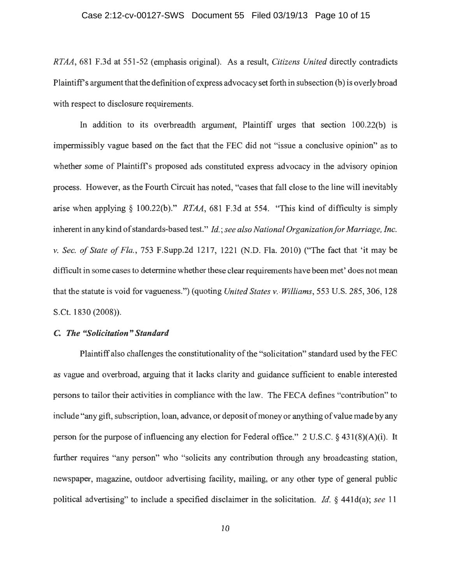### Case 2:12-cv-00127-SWS Document 55 Filed 03/19/13 Page 10 of 15

*RTAA,* 681 F.3d at 551-52 (emphasis original). As a result, *Citizens United* directly contradicts Plaintiffs argument that the definition of express advocacy set forth in subsection (b) is overly broad with respect to disclosure requirements.

In addition to its overbreadth argument, Plaintiff urges that section 100.22(b) is impermissibly vague based on the fact that the FEC did not "issue a conclusive opinion" as to whether some of Plaintiff's proposed ads constituted express advocacy in the advisory opinion process. However, as the Fourth Circuit has noted, "cases that fall close to the line will inevitably arise when applying § 100.22(b)." *RTAA,* 681 F.3d at 554. "This kind of difficulty is simply inherent in any kind of standards-based test." *!d.; see also National Organization for Marriage, Inc.*  v. *Sec. of State of Fla.,* 753 F.Supp.2d 1217, 1221 (N.D. Fla. 2010) ("The fact that 'it may be difficult in some cases to determine whether these clear requirements have been met' does not mean that the statute is void for vagueness.") (quoting *United States v. Williams*, 553 U.S. 285, 306, 128 S.Ct. 1830 (2008)).

# **C.** *The "Solicitation" Standard*

Plaintiff also challenges the constitutionality of the "solicitation" standard used by the FEC as vague and overbroad, arguing that it lacks clarity and guidance sufficient to enable interested persons to tailor their activities in compliance with the law. The FECA defines "contribution" to include "any gift, subscription, loan, advance, or deposit of money or anything of value made by any person for the purpose of influencing any election for Federal office." 2 U.S.C.  $\S$  431(8)(A)(i). It further requires "any person" who "solicits any contribution through any broadcasting station, newspaper, magazine, outdoor advertising facility, mailing, or any other type of general public political advertising" to include a specified disclaimer in the solicitation. *!d.* § 441d(a); *see* 11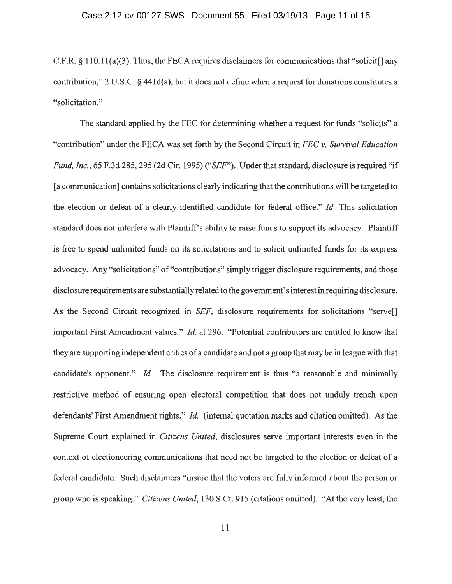C.P.R.§ 110.11(a)(3). Thus, the FECA requires disclaimers for communications that "solicit[] any contribution," 2 U.S.C. § 441d(a), but it does not define when a request for donations constitutes a "solicitation."

The standard applied by the FEC for determining whether a request for funds "solicits" a "contribution" under the FECA was set forth by the Second Circuit in *FEC v. Survival Education Fund, Inc.*, 65 F.3d 285, 295 (2d Cir. 1995) ("*SEF*"). Under that standard, disclosure is required "if [a communication] contains solicitations clearly indicating that the contributions will be targeted to the election or defeat of a clearly identified candidate for federal office." *!d.* This solicitation standard does not interfere with Plaintiff's ability to raise funds to support its advocacy. Plaintiff is free to spend unlimited funds on its solicitations and to solicit unlimited funds for its express advocacy. Any "solicitations" of "contributions" simply trigger disclosure requirements, and those disclosure requirements are substantially related to the government's interest in requiring disclosure. As the Second Circuit recognized in *SEF,* disclosure requirements for solicitations "serve[] important First Amendment values." *!d.* at 296. "Potential contributors are entitled to know that they are supporting independent critics of a candidate and not a group that may be in league with that candidate's opponent." *Id.* The disclosure requirement is thus "a reasonable and minimally restrictive method of ensuring open electoral competition that does not unduly trench upon defendants' First Amendment rights." *!d.* (internal quotation marks and citation omitted). As the Supreme Court explained in *Citizens United,* disclosures serve important interests even in the context of electioneering communications that need not be targeted to the election or defeat of a federal candidate. Such disclaimers "insure that the voters are fully informed about the person or group who is speaking." *Citizens United,* 130 S.Ct. 915 (citations omitted). "At the very least, the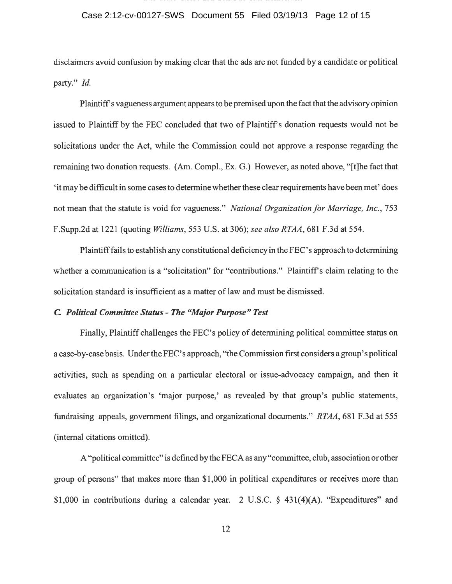## Case 2:12-cv-00127-SWS Document 55 Filed 03/19/13 Page 12 of 15

disclaimers avoid confusion by making clear that the ads are not funded by a candidate or political party." *Id.* 

Plaintiff's vagueness argument appears to be premised upon the fact that the advisory opinion issued to Plaintiff by the FEC concluded that two of Plaintiffs donation requests would not be solicitations under the Act, while the Commission could not approve a response regarding the remaining two donation requests. (Am. Compl., Ex. G.) However, as noted above, "[t]he fact that 'it may be difficult in some cases to determine whether these clear requirements have been met' does not mean that the statute is void for vagueness." *National Organization for Marriage, Inc.,* 753 F.Supp.2d at 1221 (quoting *Williams,* 553 U.S. at 306); *see also RTAA,* 681 F.3d at 554.

Plaintiff fails to establish any constitutional deficiency in the FEC's approach to determining whether a communication is a "solicitation" for "contributions." Plaintiff's claim relating to the solicitation standard is insufficient as a matter of law and must be dismissed.

## C *Political Committee Status- The "Major Purpose" Test*

Finally, Plaintiff challenges the FEC's policy of determining political committee status on a case-by-case basis. Under the FEC's approach, "the Commission first considers a group's political activities, such as spending on a particular electoral or issue-advocacy campaign, and then it evaluates an organization's 'major purpose,' as revealed by that group's public statements, fundraising appeals, government filings, and organizational documents." *RTAA,* 681 F.3d at 555 (internal citations omitted).

A "political committee" is defined by the FECA as any "committee, club, association or other group of persons" that makes more than \$1,000 in political expenditures or receives more than \$1,000 in contributions during a calendar year. 2 U.S.C.  $\S$  431(4)(A). "Expenditures" and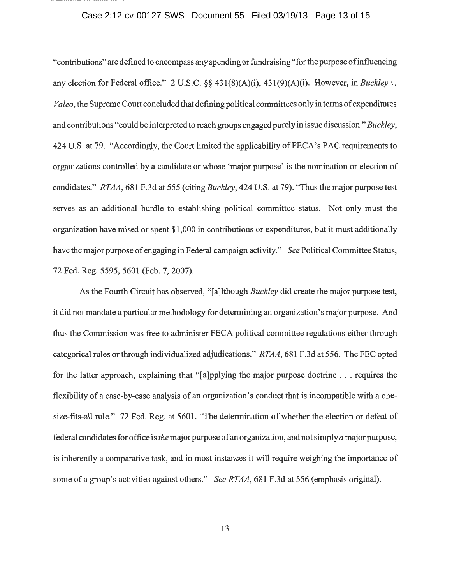#### Case 2:12-cv-00127-SWS Document 55 Filed 03/19/13 Page 13 of 15

"contributions" are defined to encompass any spending or fundraising "for the purpose of influencing any election for Federal office." 2 U.S.C. §§ 431(8)(A)(i), 431(9)(A)(i). However, in *Buckley v. Valeo,* the Supreme Court concluded that defining political committees only in terms of expenditures and contributions "could be interpreted to reach groups engaged purely in issue discussion." *Buckley,*  424 U.S. at 79. "Accordingly, the Court limited the applicability of FECA's PAC requirements to organizations controlled by a candidate or whose 'major purpose' is the nomination or election of candidates." *RTAA,* 681 F.3d at 555 (citing *Buckley,* 424 U.S. at 79). "Thus the major purpose test serves as an additional hurdle to establishing political committee status. Not only must the organization have raised or spent \$1 ,000 in contributions or expenditures, but it must additionally have the major purpose of engaging in Federal campaign activity." *See* Political Committee Status, 72 Fed. Reg. 5595, 5601 (Feb. 7, 2007).

As the Fourth Circuit has observed, "[a]lthough *Buckley* did create the major purpose test, it did not mandate a particular methodology for determining an organization's major purpose. And thus the Commission was free to administer FECA political committee regulations either through categorical rules or through individualized adjudications." *RTAA,* 681 F.3d at 556. The FEC opted for the latter approach, explaining that "[a]pplying the major purpose doctrine ... requires the flexibility of a case-by-case analysis of an organization's conduct that is incompatible with a onesize-fits-all rule." 72 Fed. Reg. at 5601. "The determination of whether the election or defeat of federal candidates for office is *the* major purpose of an organization, and not simply *a* major purpose, is inherently a comparative task, and in most instances it will require weighing the importance of some of a group's activities against others." *See RTAA,* 681 F.3d at 556 (emphasis original).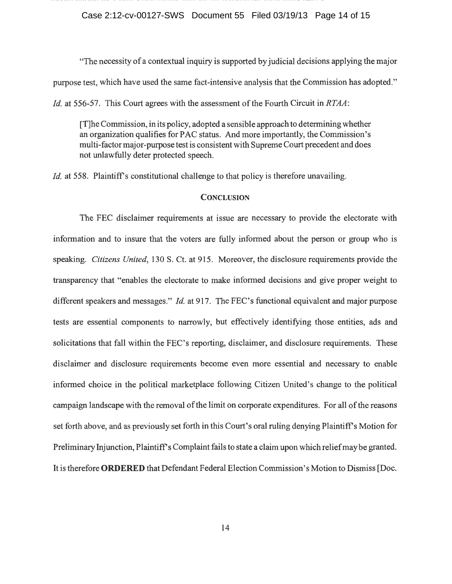Case 2:12-cv-00127-SWS Document 55 Filed 03/19/13 Page 14 of 15

"The necessity of a contextual inquiry is supported by judicial decisions applying the major purpose test, which have used the same fact-intensive analysis that the Commission has adopted." *Id.* at 556-57. This Court agrees with the assessment of the Fourth Circuit in *RTAA*:

[T]he Commission, in its policy, adopted a sensible approach to determining whether an organization qualifies for PAC status. And more importantly, the Commission's multi-factor major-purpose test is consistent with Supreme Court precedent and does not unlawfully deter protected speech.

*Id.* at 558. Plaintiff's constitutional challenge to that policy is therefore unavailing.

#### **CONCLUSION**

The FEC disclaimer requirements at issue are necessary to provide the electorate with information and to insure that the voters are fully informed about the person or group who is speaking. *Citizens United,* 130 S. Ct. at 915. Moreover, the disclosure requirements provide the transparency that "enables the electorate to make informed decisions and give proper weight to different speakers and messages." *!d.* at 917. The FEC's functional equivalent and major purpose tests are essential components to narrowly, but effectively identifying those entities, ads and solicitations that fall within the FEC's reporting, disclaimer, and disclosure requirements. These disclaimer and disclosure requirements become even more essential and necessary to enable informed choice in the political marketplace following Citizen United's change to the political campaign landscape with the removal of the limit on corporate expenditures. For all of the reasons set forth above, and as previously set forth in this Court's oral ruling denying Plaintiff's Motion for Preliminary Injunction, Plaintiff's Complaint fails to state a claim upon which relief may be granted. It is therefore **ORDERED** that Defendant Federal Election Commission's Motion to Dismiss [Doc.